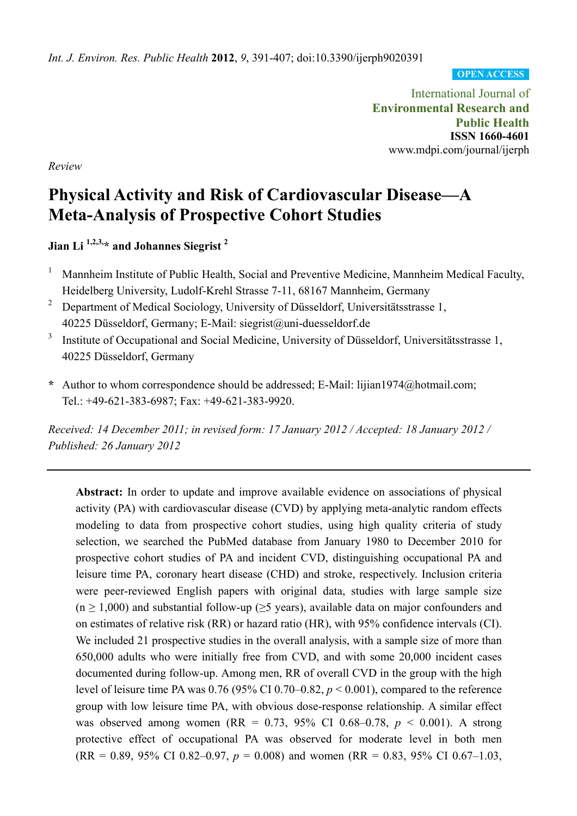**OPEN ACCESS**

International Journal of **Environmental Research and Public Health ISSN 1660-4601**  www.mdpi.com/journal/ijerph

*Review* 

# **Physical Activity and Risk of Cardiovascular Disease—A Meta-Analysis of Prospective Cohort Studies**

**Jian Li 1,2,3,\* and Johannes Siegrist 2**

- 1 Mannheim Institute of Public Health, Social and Preventive Medicine, Mannheim Medical Faculty, Heidelberg University, Ludolf-Krehl Strasse 7-11, 68167 Mannheim, Germany
- 2 Department of Medical Sociology, University of Düsseldorf, Universitätsstrasse 1, 40225 Düsseldorf, Germany; E-Mail: siegrist@uni-duesseldorf.de
- 3 Institute of Occupational and Social Medicine, University of Düsseldorf, Universitätsstrasse 1, 40225 Düsseldorf, Germany
- **\*** Author to whom correspondence should be addressed; E-Mail: lijian1974@hotmail.com; Tel.: +49-621-383-6987; Fax: +49-621-383-9920.

*Received: 14 December 2011; in revised form: 17 January 2012 / Accepted: 18 January 2012 / Published: 26 January 2012* 

**Abstract:** In order to update and improve available evidence on associations of physical activity (PA) with cardiovascular disease (CVD) by applying meta-analytic random effects modeling to data from prospective cohort studies, using high quality criteria of study selection, we searched the PubMed database from January 1980 to December 2010 for prospective cohort studies of PA and incident CVD, distinguishing occupational PA and leisure time PA, coronary heart disease (CHD) and stroke, respectively. Inclusion criteria were peer-reviewed English papers with original data, studies with large sample size  $(n \ge 1,000)$  and substantial follow-up ( $\ge 5$  years), available data on major confounders and on estimates of relative risk (RR) or hazard ratio (HR), with 95% confidence intervals (CI). We included 21 prospective studies in the overall analysis, with a sample size of more than 650,000 adults who were initially free from CVD, and with some 20,000 incident cases documented during follow-up. Among men, RR of overall CVD in the group with the high level of leisure time PA was 0.76 (95% CI 0.70–0.82, *p* < 0.001), compared to the reference group with low leisure time PA, with obvious dose-response relationship. A similar effect was observed among women (RR = 0.73, 95% CI 0.68–0.78, *p* < 0.001). A strong protective effect of occupational PA was observed for moderate level in both men  $(RR = 0.89, 95\% \text{ CI } 0.82-0.97, p = 0.008)$  and women  $(RR = 0.83, 95\% \text{ CI } 0.67-1.03, p = 0.008$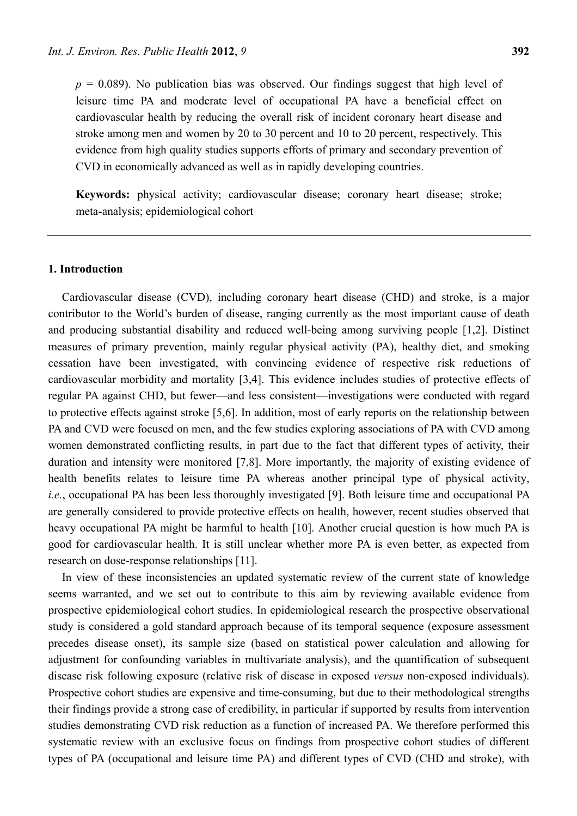$p = 0.089$ ). No publication bias was observed. Our findings suggest that high level of leisure time PA and moderate level of occupational PA have a beneficial effect on cardiovascular health by reducing the overall risk of incident coronary heart disease and stroke among men and women by 20 to 30 percent and 10 to 20 percent, respectively. This evidence from high quality studies supports efforts of primary and secondary prevention of CVD in economically advanced as well as in rapidly developing countries.

**Keywords:** physical activity; cardiovascular disease; coronary heart disease; stroke; meta-analysis; epidemiological cohort

#### **1. Introduction**

Cardiovascular disease (CVD), including coronary heart disease (CHD) and stroke, is a major contributor to the World's burden of disease, ranging currently as the most important cause of death and producing substantial disability and reduced well-being among surviving people [1,2]. Distinct measures of primary prevention, mainly regular physical activity (PA), healthy diet, and smoking cessation have been investigated, with convincing evidence of respective risk reductions of cardiovascular morbidity and mortality [3,4]. This evidence includes studies of protective effects of regular PA against CHD, but fewer—and less consistent—investigations were conducted with regard to protective effects against stroke [5,6]. In addition, most of early reports on the relationship between PA and CVD were focused on men, and the few studies exploring associations of PA with CVD among women demonstrated conflicting results, in part due to the fact that different types of activity, their duration and intensity were monitored [7,8]. More importantly, the majority of existing evidence of health benefits relates to leisure time PA whereas another principal type of physical activity, *i.e.*, occupational PA has been less thoroughly investigated [9]. Both leisure time and occupational PA are generally considered to provide protective effects on health, however, recent studies observed that heavy occupational PA might be harmful to health [10]. Another crucial question is how much PA is good for cardiovascular health. It is still unclear whether more PA is even better, as expected from research on dose-response relationships [11].

In view of these inconsistencies an updated systematic review of the current state of knowledge seems warranted, and we set out to contribute to this aim by reviewing available evidence from prospective epidemiological cohort studies. In epidemiological research the prospective observational study is considered a gold standard approach because of its temporal sequence (exposure assessment precedes disease onset), its sample size (based on statistical power calculation and allowing for adjustment for confounding variables in multivariate analysis), and the quantification of subsequent disease risk following exposure (relative risk of disease in exposed *versus* non-exposed individuals). Prospective cohort studies are expensive and time-consuming, but due to their methodological strengths their findings provide a strong case of credibility, in particular if supported by results from intervention studies demonstrating CVD risk reduction as a function of increased PA. We therefore performed this systematic review with an exclusive focus on findings from prospective cohort studies of different types of PA (occupational and leisure time PA) and different types of CVD (CHD and stroke), with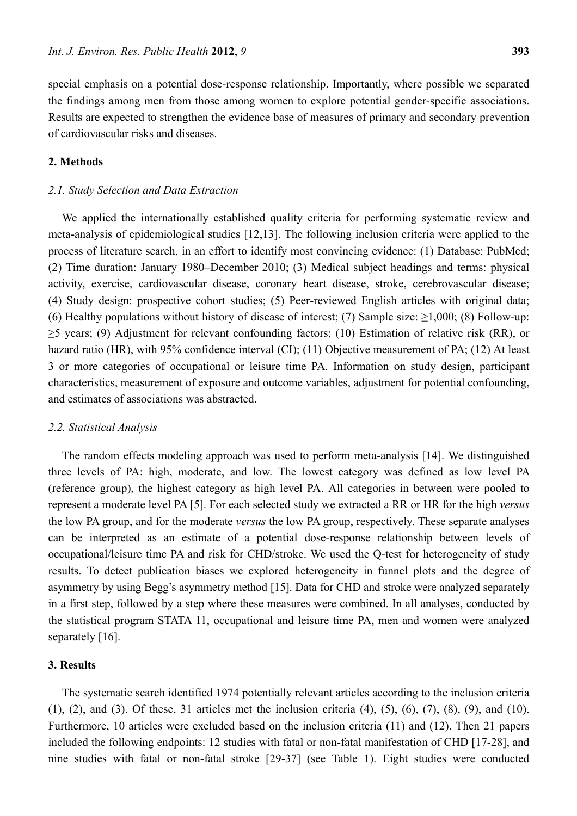special emphasis on a potential dose-response relationship. Importantly, where possible we separated the findings among men from those among women to explore potential gender-specific associations. Results are expected to strengthen the evidence base of measures of primary and secondary prevention of cardiovascular risks and diseases.

# **2. Methods**

## *2.1. Study Selection and Data Extraction*

We applied the internationally established quality criteria for performing systematic review and meta-analysis of epidemiological studies [12,13]. The following inclusion criteria were applied to the process of literature search, in an effort to identify most convincing evidence: (1) Database: PubMed; (2) Time duration: January 1980–December 2010; (3) Medical subject headings and terms: physical activity, exercise, cardiovascular disease, coronary heart disease, stroke, cerebrovascular disease; (4) Study design: prospective cohort studies; (5) Peer-reviewed English articles with original data; (6) Healthy populations without history of disease of interest; (7) Sample size:  $\geq 1,000$ ; (8) Follow-up:  $\geq$ 5 years; (9) Adjustment for relevant confounding factors; (10) Estimation of relative risk (RR), or hazard ratio (HR), with 95% confidence interval (CI); (11) Objective measurement of PA; (12) At least 3 or more categories of occupational or leisure time PA. Information on study design, participant characteristics, measurement of exposure and outcome variables, adjustment for potential confounding, and estimates of associations was abstracted.

## *2.2. Statistical Analysis*

The random effects modeling approach was used to perform meta-analysis [14]. We distinguished three levels of PA: high, moderate, and low. The lowest category was defined as low level PA (reference group), the highest category as high level PA. All categories in between were pooled to represent a moderate level PA [5]. For each selected study we extracted a RR or HR for the high *versus* the low PA group, and for the moderate *versus* the low PA group, respectively. These separate analyses can be interpreted as an estimate of a potential dose-response relationship between levels of occupational/leisure time PA and risk for CHD/stroke. We used the Q-test for heterogeneity of study results. To detect publication biases we explored heterogeneity in funnel plots and the degree of asymmetry by using Begg's asymmetry method [15]. Data for CHD and stroke were analyzed separately in a first step, followed by a step where these measures were combined. In all analyses, conducted by the statistical program STATA 11, occupational and leisure time PA, men and women were analyzed separately [16].

# **3. Results**

The systematic search identified 1974 potentially relevant articles according to the inclusion criteria (1), (2), and (3). Of these, 31 articles met the inclusion criteria (4), (5), (6), (7), (8), (9), and (10). Furthermore, 10 articles were excluded based on the inclusion criteria (11) and (12). Then 21 papers included the following endpoints: 12 studies with fatal or non-fatal manifestation of CHD [17-28], and nine studies with fatal or non-fatal stroke [29-37] (see Table 1). Eight studies were conducted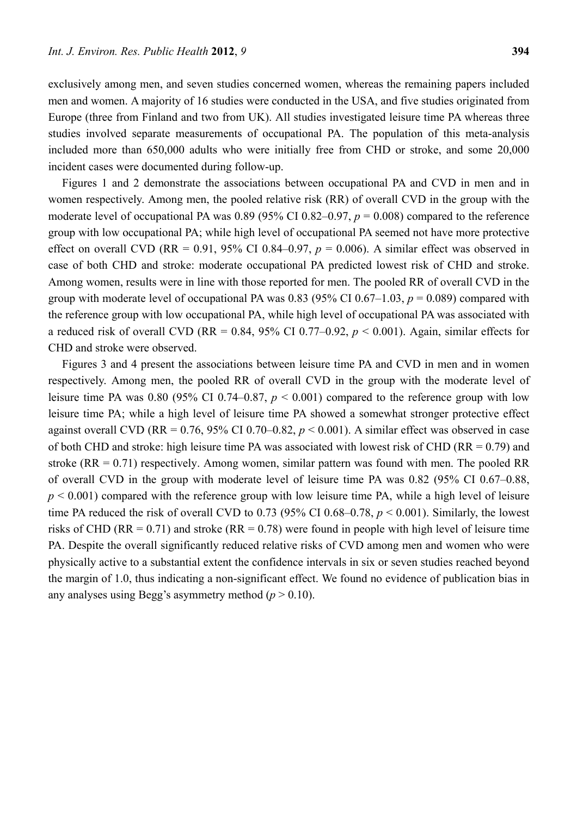exclusively among men, and seven studies concerned women, whereas the remaining papers included men and women. A majority of 16 studies were conducted in the USA, and five studies originated from Europe (three from Finland and two from UK). All studies investigated leisure time PA whereas three studies involved separate measurements of occupational PA. The population of this meta-analysis included more than 650,000 adults who were initially free from CHD or stroke, and some 20,000 incident cases were documented during follow-up.

Figures 1 and 2 demonstrate the associations between occupational PA and CVD in men and in women respectively. Among men, the pooled relative risk (RR) of overall CVD in the group with the moderate level of occupational PA was  $0.89$  (95% CI 0.82–0.97,  $p = 0.008$ ) compared to the reference group with low occupational PA; while high level of occupational PA seemed not have more protective effect on overall CVD (RR =  $0.91$ ,  $95\%$  CI 0.84–0.97,  $p = 0.006$ ). A similar effect was observed in case of both CHD and stroke: moderate occupational PA predicted lowest risk of CHD and stroke. Among women, results were in line with those reported for men. The pooled RR of overall CVD in the group with moderate level of occupational PA was  $0.83$  (95% CI 0.67–1.03,  $p = 0.089$ ) compared with the reference group with low occupational PA, while high level of occupational PA was associated with a reduced risk of overall CVD (RR =  $0.84$ , 95% CI 0.77–0.92,  $p < 0.001$ ). Again, similar effects for CHD and stroke were observed.

Figures 3 and 4 present the associations between leisure time PA and CVD in men and in women respectively. Among men, the pooled RR of overall CVD in the group with the moderate level of leisure time PA was 0.80 (95% CI 0.74–0.87,  $p < 0.001$ ) compared to the reference group with low leisure time PA; while a high level of leisure time PA showed a somewhat stronger protective effect against overall CVD (RR =  $0.76$ ,  $95\%$  CI 0.70–0.82,  $p \le 0.001$ ). A similar effect was observed in case of both CHD and stroke: high leisure time PA was associated with lowest risk of CHD ( $RR = 0.79$ ) and stroke  $(RR = 0.71)$  respectively. Among women, similar pattern was found with men. The pooled RR of overall CVD in the group with moderate level of leisure time PA was 0.82 (95% CI 0.67–0.88,  $p \le 0.001$ ) compared with the reference group with low leisure time PA, while a high level of leisure time PA reduced the risk of overall CVD to 0.73 (95% CI 0.68–0.78,  $p < 0.001$ ). Similarly, the lowest risks of CHD (RR = 0.71) and stroke (RR = 0.78) were found in people with high level of leisure time PA. Despite the overall significantly reduced relative risks of CVD among men and women who were physically active to a substantial extent the confidence intervals in six or seven studies reached beyond the margin of 1.0, thus indicating a non-significant effect. We found no evidence of publication bias in any analyses using Begg's asymmetry method  $(p > 0.10)$ .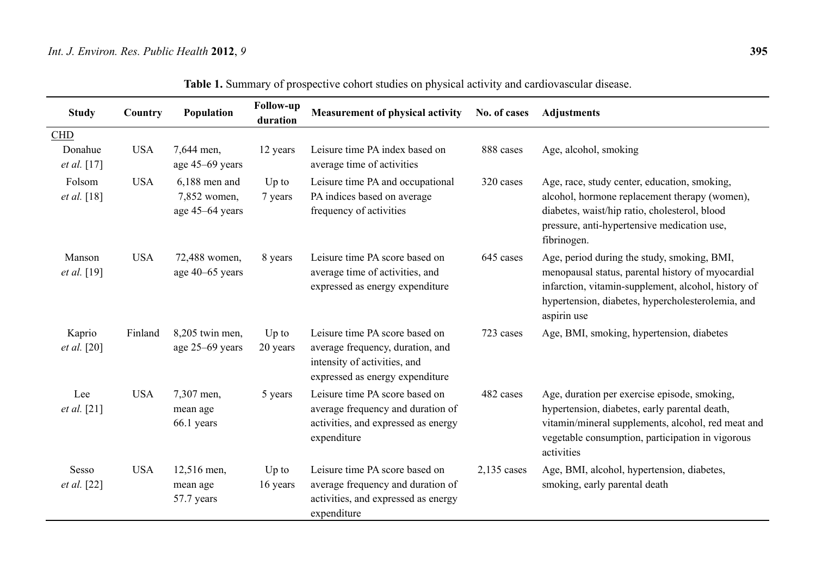| <b>Study</b>                 | Country    | Population                                         | Follow-up<br>duration | <b>Measurement of physical activity</b>                                                                                               | No. of cases  | <b>Adjustments</b>                                                                                                                                                                                                          |
|------------------------------|------------|----------------------------------------------------|-----------------------|---------------------------------------------------------------------------------------------------------------------------------------|---------------|-----------------------------------------------------------------------------------------------------------------------------------------------------------------------------------------------------------------------------|
| <b>CHD</b>                   |            |                                                    |                       |                                                                                                                                       |               |                                                                                                                                                                                                                             |
| Donahue<br>et al. [17]       | <b>USA</b> | 7,644 men,<br>age 45–69 years                      | 12 years              | Leisure time PA index based on<br>average time of activities                                                                          | 888 cases     | Age, alcohol, smoking                                                                                                                                                                                                       |
| Folsom<br>et al. [18]        | <b>USA</b> | $6,188$ men and<br>7,852 women,<br>age 45-64 years | $Up$ to<br>7 years    | Leisure time PA and occupational<br>PA indices based on average<br>frequency of activities                                            | 320 cases     | Age, race, study center, education, smoking,<br>alcohol, hormone replacement therapy (women),<br>diabetes, waist/hip ratio, cholesterol, blood<br>pressure, anti-hypertensive medication use,<br>fibrinogen.                |
| Manson<br><i>et al.</i> [19] | <b>USA</b> | 72,488 women,<br>age 40–65 years                   | 8 years               | Leisure time PA score based on<br>average time of activities, and<br>expressed as energy expenditure                                  | 645 cases     | Age, period during the study, smoking, BMI,<br>menopausal status, parental history of myocardial<br>infarction, vitamin-supplement, alcohol, history of<br>hypertension, diabetes, hypercholesterolemia, and<br>aspirin use |
| Kaprio<br><i>et al.</i> [20] | Finland    | 8,205 twin men,<br>age 25–69 years                 | $Up$ to<br>20 years   | Leisure time PA score based on<br>average frequency, duration, and<br>intensity of activities, and<br>expressed as energy expenditure | 723 cases     | Age, BMI, smoking, hypertension, diabetes                                                                                                                                                                                   |
| Lee<br><i>et al.</i> $[21]$  | <b>USA</b> | 7,307 men,<br>mean age<br>66.1 years               | 5 years               | Leisure time PA score based on<br>average frequency and duration of<br>activities, and expressed as energy<br>expenditure             | 482 cases     | Age, duration per exercise episode, smoking,<br>hypertension, diabetes, early parental death,<br>vitamin/mineral supplements, alcohol, red meat and<br>vegetable consumption, participation in vigorous<br>activities       |
| Sesso<br><i>et al.</i> [22]  | <b>USA</b> | 12,516 men,<br>mean age<br>57.7 years              | $Up$ to<br>16 years   | Leisure time PA score based on<br>average frequency and duration of<br>activities, and expressed as energy<br>expenditure             | $2,135$ cases | Age, BMI, alcohol, hypertension, diabetes,<br>smoking, early parental death                                                                                                                                                 |

|  |  |  |  | Table 1. Summary of prospective cohort studies on physical activity and cardiovascular disease. |  |  |  |  |  |  |  |
|--|--|--|--|-------------------------------------------------------------------------------------------------|--|--|--|--|--|--|--|
|--|--|--|--|-------------------------------------------------------------------------------------------------|--|--|--|--|--|--|--|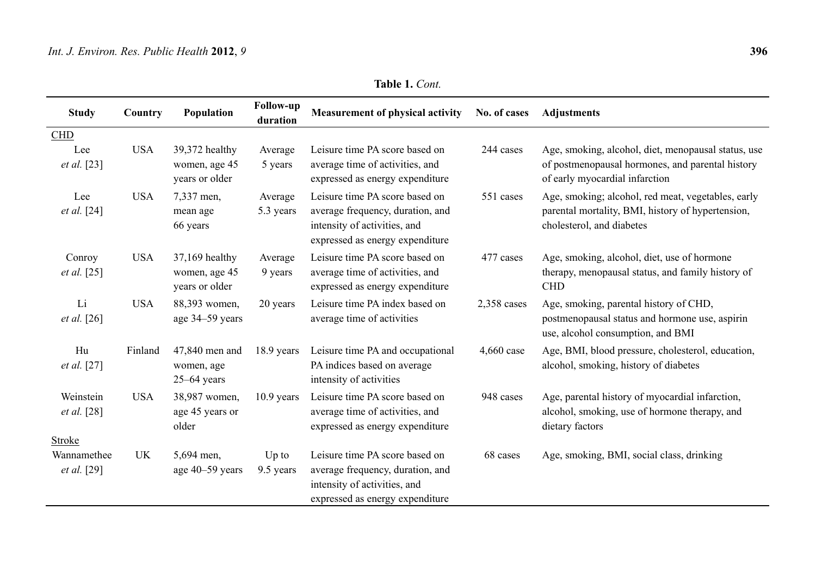| <b>Study</b>                      | Country    | Population                                        | <b>Follow-up</b><br>duration | <b>Measurement of physical activity</b>                                                                                               | No. of cases | <b>Adjustments</b>                                                                                                                        |
|-----------------------------------|------------|---------------------------------------------------|------------------------------|---------------------------------------------------------------------------------------------------------------------------------------|--------------|-------------------------------------------------------------------------------------------------------------------------------------------|
| CHD                               |            |                                                   |                              |                                                                                                                                       |              |                                                                                                                                           |
| Lee<br>et al. [23]                | <b>USA</b> | 39,372 healthy<br>women, age 45<br>years or older | Average<br>5 years           | Leisure time PA score based on<br>average time of activities, and<br>expressed as energy expenditure                                  | 244 cases    | Age, smoking, alcohol, diet, menopausal status, use<br>of postmenopausal hormones, and parental history<br>of early myocardial infarction |
| Lee<br><i>et al.</i> [24]         | <b>USA</b> | 7,337 men,<br>mean age<br>66 years                | Average<br>5.3 years         | Leisure time PA score based on<br>average frequency, duration, and<br>intensity of activities, and<br>expressed as energy expenditure | 551 cases    | Age, smoking; alcohol, red meat, vegetables, early<br>parental mortality, BMI, history of hypertension,<br>cholesterol, and diabetes      |
| Conroy<br>et al. [25]             | <b>USA</b> | 37,169 healthy<br>women, age 45<br>years or older | Average<br>9 years           | Leisure time PA score based on<br>average time of activities, and<br>expressed as energy expenditure                                  | 477 cases    | Age, smoking, alcohol, diet, use of hormone<br>therapy, menopausal status, and family history of<br><b>CHD</b>                            |
| Li<br>et al. [26]                 | <b>USA</b> | 88,393 women,<br>age 34-59 years                  | 20 years                     | Leisure time PA index based on<br>average time of activities                                                                          | 2,358 cases  | Age, smoking, parental history of CHD,<br>postmenopausal status and hormone use, aspirin<br>use, alcohol consumption, and BMI             |
| Hu<br><i>et al.</i> [27]          | Finland    | 47,840 men and<br>women, age<br>$25-64$ years     | 18.9 years                   | Leisure time PA and occupational<br>PA indices based on average<br>intensity of activities                                            | 4,660 case   | Age, BMI, blood pressure, cholesterol, education,<br>alcohol, smoking, history of diabetes                                                |
| Weinstein<br><i>et al.</i> [28]   | <b>USA</b> | 38,987 women,<br>age 45 years or<br>older         | $10.9$ years                 | Leisure time PA score based on<br>average time of activities, and<br>expressed as energy expenditure                                  | 948 cases    | Age, parental history of myocardial infarction,<br>alcohol, smoking, use of hormone therapy, and<br>dietary factors                       |
| <b>Stroke</b>                     |            |                                                   |                              |                                                                                                                                       |              |                                                                                                                                           |
| Wannamethee<br><i>et al.</i> [29] | <b>UK</b>  | 5,694 men,<br>age 40–59 years                     | $Up$ to<br>9.5 years         | Leisure time PA score based on<br>average frequency, duration, and<br>intensity of activities, and<br>expressed as energy expenditure | 68 cases     | Age, smoking, BMI, social class, drinking                                                                                                 |

**Table 1.** *Cont.*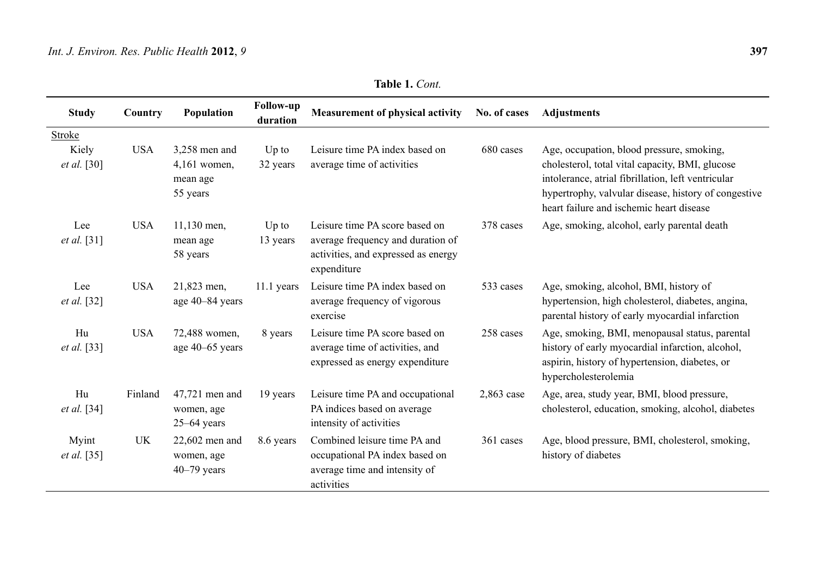| <b>Study</b>                          | Country    | Population                                            | <b>Follow-up</b><br>duration | <b>Measurement of physical activity</b>                                                                                   | No. of cases | <b>Adjustments</b>                                                                                                                                                                                                                                     |
|---------------------------------------|------------|-------------------------------------------------------|------------------------------|---------------------------------------------------------------------------------------------------------------------------|--------------|--------------------------------------------------------------------------------------------------------------------------------------------------------------------------------------------------------------------------------------------------------|
| Stroke<br>Kiely<br><i>et al.</i> [30] | <b>USA</b> | 3,258 men and<br>4,161 women,<br>mean age<br>55 years | $Up$ to<br>32 years          | Leisure time PA index based on<br>average time of activities                                                              | 680 cases    | Age, occupation, blood pressure, smoking,<br>cholesterol, total vital capacity, BMI, glucose<br>intolerance, atrial fibrillation, left ventricular<br>hypertrophy, valvular disease, history of congestive<br>heart failure and ischemic heart disease |
| Lee<br>et al. [31]                    | <b>USA</b> | $11,130$ men,<br>mean age<br>58 years                 | $Up$ to<br>13 years          | Leisure time PA score based on<br>average frequency and duration of<br>activities, and expressed as energy<br>expenditure | 378 cases    | Age, smoking, alcohol, early parental death                                                                                                                                                                                                            |
| Lee<br><i>et al.</i> [32]             | <b>USA</b> | 21,823 men,<br>age 40-84 years                        | $11.1$ years                 | Leisure time PA index based on<br>average frequency of vigorous<br>exercise                                               | 533 cases    | Age, smoking, alcohol, BMI, history of<br>hypertension, high cholesterol, diabetes, angina,<br>parental history of early myocardial infarction                                                                                                         |
| Hu<br><i>et al.</i> [33]              | <b>USA</b> | 72,488 women,<br>age 40–65 years                      | 8 years                      | Leisure time PA score based on<br>average time of activities, and<br>expressed as energy expenditure                      | 258 cases    | Age, smoking, BMI, menopausal status, parental<br>history of early myocardial infarction, alcohol,<br>aspirin, history of hypertension, diabetes, or<br>hypercholesterolemia                                                                           |
| Hu<br>et al. [34]                     | Finland    | 47,721 men and<br>women, age<br>$25-64$ years         | 19 years                     | Leisure time PA and occupational<br>PA indices based on average<br>intensity of activities                                | 2,863 case   | Age, area, study year, BMI, blood pressure,<br>cholesterol, education, smoking, alcohol, diabetes                                                                                                                                                      |
| Myint<br><i>et al.</i> [35]           | UK         | $22,602$ men and<br>women, age<br>$40 - 79$ years     | 8.6 years                    | Combined leisure time PA and<br>occupational PA index based on<br>average time and intensity of<br>activities             | 361 cases    | Age, blood pressure, BMI, cholesterol, smoking,<br>history of diabetes                                                                                                                                                                                 |

**Table 1.** *Cont.*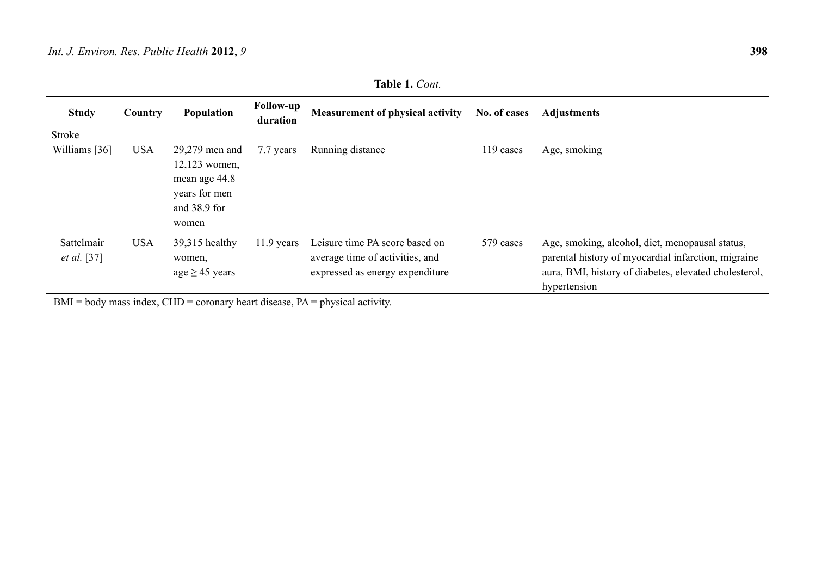| <b>Study</b>                     | Country    | Population                                                                                     | <b>Follow-up</b><br>duration | <b>Measurement of physical activity</b>                                                              | No. of cases | <b>Adjustments</b>                                                                                                                                                              |
|----------------------------------|------------|------------------------------------------------------------------------------------------------|------------------------------|------------------------------------------------------------------------------------------------------|--------------|---------------------------------------------------------------------------------------------------------------------------------------------------------------------------------|
| <b>Stroke</b>                    |            |                                                                                                |                              |                                                                                                      |              |                                                                                                                                                                                 |
| Williams [36]                    | <b>USA</b> | $29,279$ men and<br>$12,123$ women,<br>mean age 44.8<br>years for men<br>and 38.9 for<br>women | 7.7 years                    | Running distance                                                                                     | 119 cases    | Age, smoking                                                                                                                                                                    |
| Sattelmair<br><i>et al.</i> [37] | <b>USA</b> | 39,315 healthy<br>women,<br>$age \ge 45 \text{ years}$                                         | $11.9$ years                 | Leisure time PA score based on<br>average time of activities, and<br>expressed as energy expenditure | 579 cases    | Age, smoking, alcohol, diet, menopausal status,<br>parental history of myocardial infarction, migraine<br>aura, BMI, history of diabetes, elevated cholesterol,<br>hypertension |

**Table 1.** *Cont.*

BMI = body mass index, CHD = coronary heart disease, PA = physical activity.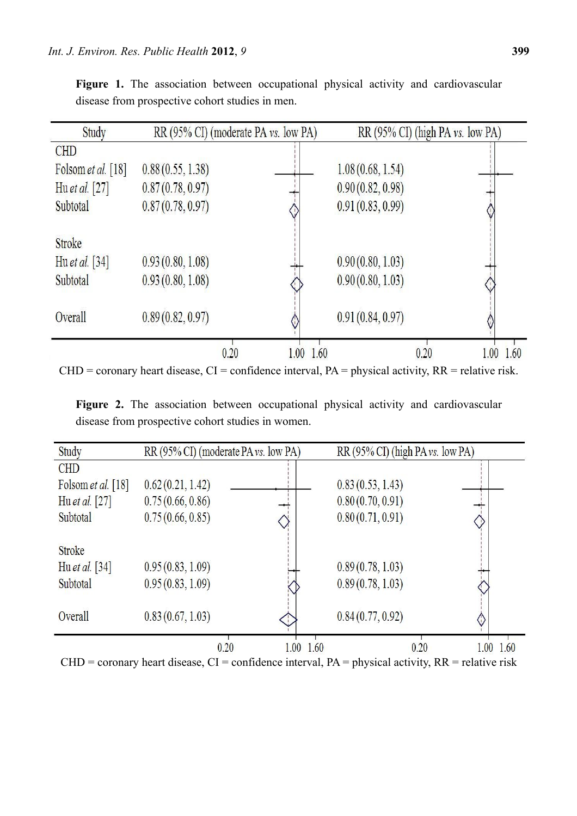| Study              |                  | RR (95% CI) (moderate PA vs. low PA) | RR (95% CI) (high PA vs. low PA) |              |
|--------------------|------------------|--------------------------------------|----------------------------------|--------------|
| <b>CHD</b>         |                  |                                      |                                  |              |
| Folsom et al. [18] | 0.88(0.55, 1.38) |                                      | 1.08(0.68, 1.54)                 |              |
| Hu et al. $[27]$   | 0.87(0.78, 0.97) |                                      | 0.90(0.82, 0.98)                 |              |
| Subtotal           | 0.87(0.78, 0.97) |                                      | 0.91(0.83, 0.99)                 |              |
| Stroke             |                  |                                      |                                  |              |
| Hu et al. [34]     | 0.93(0.80, 1.08) |                                      | 0.90(0.80, 1.03)                 |              |
| Subtotal           | 0.93(0.80, 1.08) |                                      | 0.90(0.80, 1.03)                 |              |
| Overall            | 0.89(0.82, 0.97) |                                      | 0.91(0.84, 0.97)                 |              |
|                    |                  | 0.20<br>1.00<br>1.60                 | 0.20                             | 1.00<br>1.60 |

Figure 1. The association between occupational physical activity and cardiovascular disease from prospective cohort studies in men.

 $CHD =$  coronary heart disease,  $CI =$  confidence interval,  $PA =$  physical activity,  $RR =$  relative risk.

**Figure 2.** The association between occupational physical activity and cardiovascular disease from prospective cohort studies in women.

| Study                | RR (95% CI) (moderate PA vs. low PA) |                      | $RR(95\% CI)$ (high PA vs. low PA) |              |
|----------------------|--------------------------------------|----------------------|------------------------------------|--------------|
| <b>CHD</b>           |                                      |                      |                                    |              |
| Folsom et al. $[18]$ | 0.62(0.21, 1.42)                     |                      | 0.83(0.53, 1.43)                   |              |
| Hu et al. $[27]$     | 0.75(0.66, 0.86)                     |                      | 0.80(0.70, 0.91)                   |              |
| Subtotal             | 0.75(0.66, 0.85)                     |                      | 0.80(0.71, 0.91)                   |              |
| <b>Stroke</b>        |                                      |                      |                                    |              |
| Hu et al. [34]       | 0.95(0.83, 1.09)                     |                      | 0.89(0.78, 1.03)                   |              |
| Subtotal             | 0.95(0.83, 1.09)                     |                      | 0.89(0.78, 1.03)                   |              |
| Overall              | 0.83(0.67, 1.03)                     |                      | 0.84(0.77, 0.92)                   |              |
|                      |                                      | 0.20<br>1.00<br>1.60 | 0.20                               | 1.60<br>1.00 |

 $CHD = \text{coronary heart disease}, CI = \text{confidence interval}, PA = \text{physical activity}, RR = \text{relative risk}$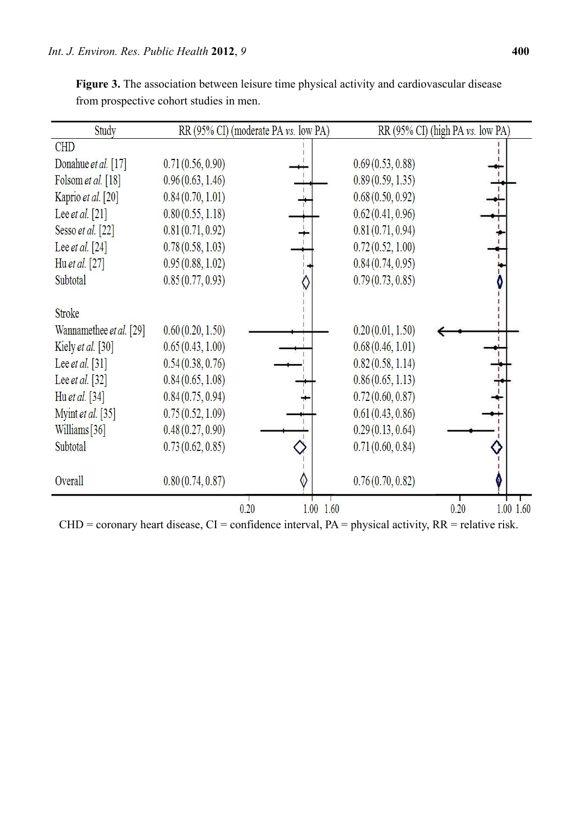| Study                                                                                                       |                  | RR (95% CI) (moderate PA vs. low PA) |                  | $RR(95\% CI)$ (high PA vs. low PA) |  |  |  |  |
|-------------------------------------------------------------------------------------------------------------|------------------|--------------------------------------|------------------|------------------------------------|--|--|--|--|
| <b>CHD</b>                                                                                                  |                  |                                      |                  |                                    |  |  |  |  |
| Donahue et al. [17]                                                                                         | 0.71(0.56, 0.90) |                                      | 0.69(0.53, 0.88) |                                    |  |  |  |  |
| Folsom <i>et al.</i> $\lceil 18 \rceil$                                                                     | 0.96(0.63, 1.46) |                                      | 0.89(0.59, 1.35) |                                    |  |  |  |  |
| Kaprio et al. [20]                                                                                          | 0.84(0.70, 1.01) |                                      | 0.68(0.50, 0.92) |                                    |  |  |  |  |
| Lee <i>et al.</i> $[21]$                                                                                    | 0.80(0.55, 1.18) |                                      | 0.62(0.41, 0.96) |                                    |  |  |  |  |
| Sesso <i>et al.</i> $[22]$                                                                                  | 0.81(0.71, 0.92) |                                      | 0.81(0.71, 0.94) |                                    |  |  |  |  |
| Lee <i>et al.</i> $\lceil 24 \rceil$                                                                        | 0.78(0.58, 1.03) |                                      | 0.72(0.52, 1.00) |                                    |  |  |  |  |
| Hu et al. $[27]$                                                                                            | 0.95(0.88, 1.02) |                                      | 0.84(0.74, 0.95) |                                    |  |  |  |  |
| Subtotal                                                                                                    | 0.85(0.77, 0.93) |                                      | 0.79(0.73, 0.85) |                                    |  |  |  |  |
|                                                                                                             |                  |                                      |                  |                                    |  |  |  |  |
| Stroke                                                                                                      |                  |                                      |                  |                                    |  |  |  |  |
| Wannamethee et al. [29]                                                                                     | 0.60(0.20, 1.50) |                                      | 0.20(0.01, 1.50) |                                    |  |  |  |  |
| Kiely et al. [30]                                                                                           | 0.65(0.43, 1.00) |                                      | 0.68(0.46, 1.01) |                                    |  |  |  |  |
| Lee <i>et al.</i> [31]                                                                                      | 0.54(0.38, 0.76) |                                      | 0.82(0.58, 1.14) |                                    |  |  |  |  |
| Lee <i>et al.</i> $\lceil 32 \rceil$                                                                        | 0.84(0.65, 1.08) |                                      | 0.86(0.65, 1.13) |                                    |  |  |  |  |
| Hu et al. [34]                                                                                              | 0.84(0.75, 0.94) |                                      | 0.72(0.60, 0.87) |                                    |  |  |  |  |
| Myint et al. [35]                                                                                           | 0.75(0.52, 1.09) |                                      | 0.61(0.43, 0.86) |                                    |  |  |  |  |
| Williams [36]                                                                                               | 0.48(0.27, 0.90) |                                      | 0.29(0.13, 0.64) |                                    |  |  |  |  |
| Subtotal                                                                                                    | 0.73(0.62, 0.85) |                                      | 0.71(0.60, 0.84) |                                    |  |  |  |  |
|                                                                                                             |                  |                                      |                  |                                    |  |  |  |  |
| Overall                                                                                                     | 0.80(0.74, 0.87) |                                      | 0.76(0.70, 0.82) |                                    |  |  |  |  |
|                                                                                                             |                  |                                      |                  |                                    |  |  |  |  |
|                                                                                                             |                  | 0.20<br>$1.00$ 1.60                  |                  | 0.20<br>1.00 1.60                  |  |  |  |  |
| $CHD =$ coronary heart disease, $CI =$ confidence interval, $PA =$ physical activity, $RR =$ relative risk. |                  |                                      |                  |                                    |  |  |  |  |

Figure 3. The association between leisure time physical activity and cardiovascular disease from prospective cohort studies in men.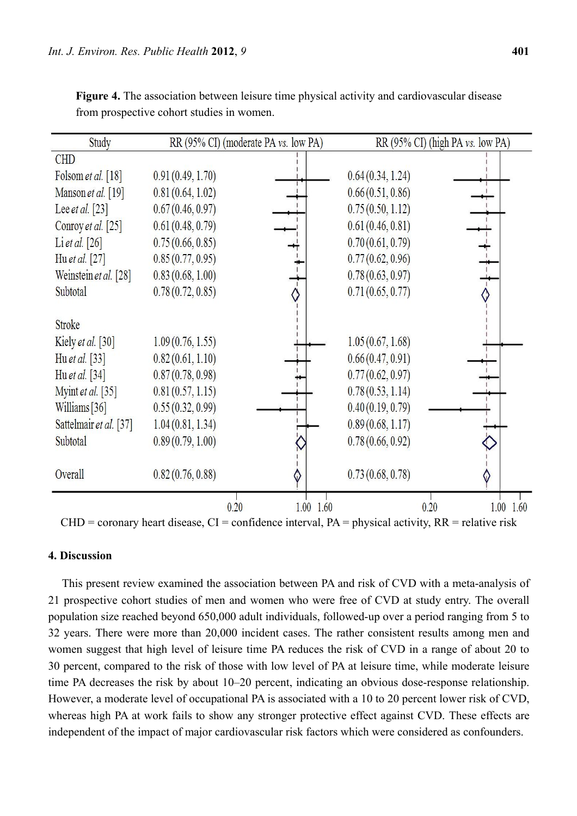| Study                  |                  | RR (95% CI) (moderate PA vs. low PA) |                  | $RR(95\% CI)$ (high PA vs. low PA) |
|------------------------|------------------|--------------------------------------|------------------|------------------------------------|
| <b>CHD</b>             |                  |                                      |                  |                                    |
| Folsom et al. [18]     | 0.91(0.49, 1.70) |                                      | 0.64(0.34, 1.24) |                                    |
| Manson et al. [19]     | 0.81(0.64, 1.02) |                                      | 0.66(0.51, 0.86) |                                    |
| Lee <i>et al.</i> [23] | 0.67(0.46, 0.97) |                                      | 0.75(0.50, 1.12) |                                    |
| Conroy et al. [25]     | 0.61(0.48, 0.79) |                                      | 0.61(0.46, 0.81) |                                    |
| Li et al. $[26]$       | 0.75(0.66, 0.85) |                                      | 0.70(0.61, 0.79) |                                    |
| Hu et al. $[27]$       | 0.85(0.77, 0.95) |                                      | 0.77(0.62, 0.96) |                                    |
| Weinstein et al. [28]  | 0.83(0.68, 1.00) |                                      | 0.78(0.63, 0.97) |                                    |
| Subtotal               | 0.78(0.72, 0.85) |                                      | 0.71(0.65, 0.77) |                                    |
|                        |                  |                                      |                  |                                    |
| Stroke                 |                  |                                      |                  |                                    |
| Kiely et al. [30]      | 1.09(0.76, 1.55) |                                      | 1.05(0.67, 1.68) |                                    |
| Hu et al. [33]         | 0.82(0.61, 1.10) |                                      | 0.66(0.47, 0.91) |                                    |
| Hu et al. $[34]$       | 0.87(0.78, 0.98) |                                      | 0.77(0.62, 0.97) |                                    |
| Myint et al. $[35]$    | 0.81(0.57, 1.15) |                                      | 0.78(0.53, 1.14) |                                    |
| Williams [36]          | 0.55(0.32, 0.99) |                                      | 0.40(0.19, 0.79) |                                    |
| Sattelmair et al. [37] | 1.04(0.81, 1.34) |                                      | 0.89(0.68, 1.17) |                                    |
| Subtotal               | 0.89(0.79, 1.00) |                                      | 0.78(0.66, 0.92) |                                    |
|                        |                  |                                      |                  |                                    |
| Overall                | 0.82(0.76, 0.88) |                                      | 0.73(0.68, 0.78) |                                    |
|                        |                  |                                      |                  |                                    |
|                        |                  | 0.20<br>$1.00$ 1.60                  |                  | 0.20<br>1.00 1.60                  |

**Figure 4.** The association between leisure time physical activity and cardiovascular disease from prospective cohort studies in women.

 $CHD =$  coronary heart disease,  $CI =$  confidence interval,  $PA =$  physical activity,  $RR =$  relative risk

## **4. Discussion**

This present review examined the association between PA and risk of CVD with a meta-analysis of 21 prospective cohort studies of men and women who were free of CVD at study entry. The overall population size reached beyond 650,000 adult individuals, followed-up over a period ranging from 5 to 32 years. There were more than 20,000 incident cases. The rather consistent results among men and women suggest that high level of leisure time PA reduces the risk of CVD in a range of about 20 to 30 percent, compared to the risk of those with low level of PA at leisure time, while moderate leisure time PA decreases the risk by about 10–20 percent, indicating an obvious dose-response relationship. However, a moderate level of occupational PA is associated with a 10 to 20 percent lower risk of CVD, whereas high PA at work fails to show any stronger protective effect against CVD. These effects are independent of the impact of major cardiovascular risk factors which were considered as confounders.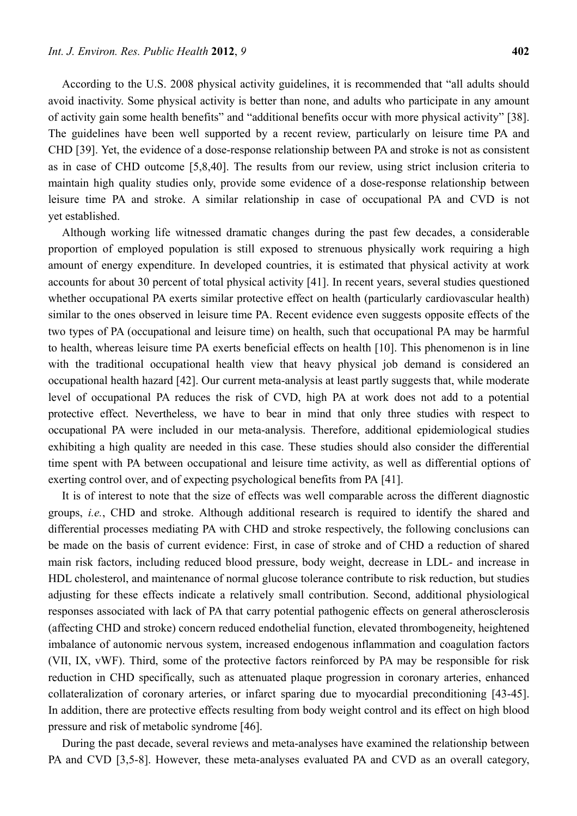According to the U.S. 2008 physical activity guidelines, it is recommended that "all adults should avoid inactivity. Some physical activity is better than none, and adults who participate in any amount of activity gain some health benefits" and "additional benefits occur with more physical activity" [38]. The guidelines have been well supported by a recent review, particularly on leisure time PA and CHD [39]. Yet, the evidence of a dose-response relationship between PA and stroke is not as consistent as in case of CHD outcome [5,8,40]. The results from our review, using strict inclusion criteria to maintain high quality studies only, provide some evidence of a dose-response relationship between leisure time PA and stroke. A similar relationship in case of occupational PA and CVD is not yet established.

Although working life witnessed dramatic changes during the past few decades, a considerable proportion of employed population is still exposed to strenuous physically work requiring a high amount of energy expenditure. In developed countries, it is estimated that physical activity at work accounts for about 30 percent of total physical activity [41]. In recent years, several studies questioned whether occupational PA exerts similar protective effect on health (particularly cardiovascular health) similar to the ones observed in leisure time PA. Recent evidence even suggests opposite effects of the two types of PA (occupational and leisure time) on health, such that occupational PA may be harmful to health, whereas leisure time PA exerts beneficial effects on health [10]. This phenomenon is in line with the traditional occupational health view that heavy physical job demand is considered an occupational health hazard [42]. Our current meta-analysis at least partly suggests that, while moderate level of occupational PA reduces the risk of CVD, high PA at work does not add to a potential protective effect. Nevertheless, we have to bear in mind that only three studies with respect to occupational PA were included in our meta-analysis. Therefore, additional epidemiological studies exhibiting a high quality are needed in this case. These studies should also consider the differential time spent with PA between occupational and leisure time activity, as well as differential options of exerting control over, and of expecting psychological benefits from PA [41].

It is of interest to note that the size of effects was well comparable across the different diagnostic groups, *i.e.*, CHD and stroke. Although additional research is required to identify the shared and differential processes mediating PA with CHD and stroke respectively, the following conclusions can be made on the basis of current evidence: First, in case of stroke and of CHD a reduction of shared main risk factors, including reduced blood pressure, body weight, decrease in LDL- and increase in HDL cholesterol, and maintenance of normal glucose tolerance contribute to risk reduction, but studies adjusting for these effects indicate a relatively small contribution. Second, additional physiological responses associated with lack of PA that carry potential pathogenic effects on general atherosclerosis (affecting CHD and stroke) concern reduced endothelial function, elevated thrombogeneity, heightened imbalance of autonomic nervous system, increased endogenous inflammation and coagulation factors (VII, IX, vWF). Third, some of the protective factors reinforced by PA may be responsible for risk reduction in CHD specifically, such as attenuated plaque progression in coronary arteries, enhanced collateralization of coronary arteries, or infarct sparing due to myocardial preconditioning [43-45]. In addition, there are protective effects resulting from body weight control and its effect on high blood pressure and risk of metabolic syndrome [46].

During the past decade, several reviews and meta-analyses have examined the relationship between PA and CVD [3,5-8]. However, these meta-analyses evaluated PA and CVD as an overall category,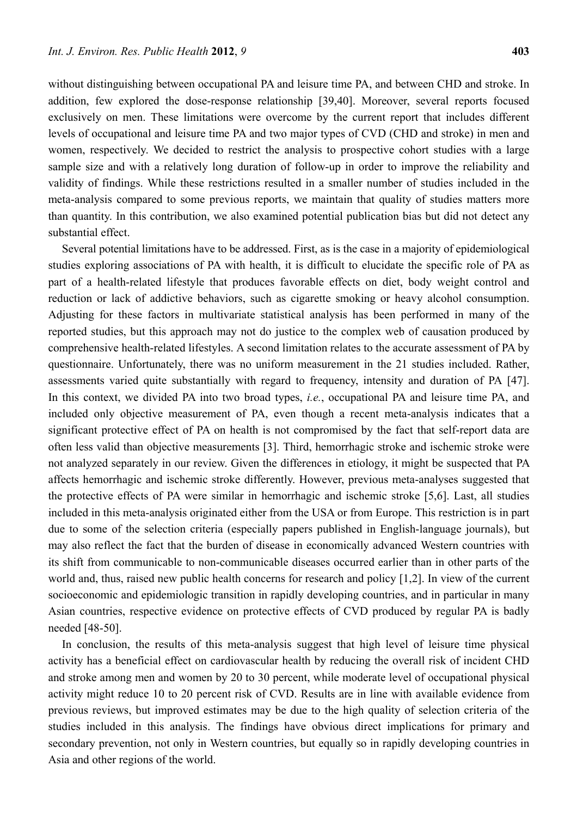without distinguishing between occupational PA and leisure time PA, and between CHD and stroke. In addition, few explored the dose-response relationship [39,40]. Moreover, several reports focused exclusively on men. These limitations were overcome by the current report that includes different levels of occupational and leisure time PA and two major types of CVD (CHD and stroke) in men and women, respectively. We decided to restrict the analysis to prospective cohort studies with a large sample size and with a relatively long duration of follow-up in order to improve the reliability and validity of findings. While these restrictions resulted in a smaller number of studies included in the meta-analysis compared to some previous reports, we maintain that quality of studies matters more than quantity. In this contribution, we also examined potential publication bias but did not detect any substantial effect.

Several potential limitations have to be addressed. First, as is the case in a majority of epidemiological studies exploring associations of PA with health, it is difficult to elucidate the specific role of PA as part of a health-related lifestyle that produces favorable effects on diet, body weight control and reduction or lack of addictive behaviors, such as cigarette smoking or heavy alcohol consumption. Adjusting for these factors in multivariate statistical analysis has been performed in many of the reported studies, but this approach may not do justice to the complex web of causation produced by comprehensive health-related lifestyles. A second limitation relates to the accurate assessment of PA by questionnaire. Unfortunately, there was no uniform measurement in the 21 studies included. Rather, assessments varied quite substantially with regard to frequency, intensity and duration of PA [47]. In this context, we divided PA into two broad types, *i.e.*, occupational PA and leisure time PA, and included only objective measurement of PA, even though a recent meta-analysis indicates that a significant protective effect of PA on health is not compromised by the fact that self-report data are often less valid than objective measurements [3]. Third, hemorrhagic stroke and ischemic stroke were not analyzed separately in our review. Given the differences in etiology, it might be suspected that PA affects hemorrhagic and ischemic stroke differently. However, previous meta-analyses suggested that the protective effects of PA were similar in hemorrhagic and ischemic stroke [5,6]. Last, all studies included in this meta-analysis originated either from the USA or from Europe. This restriction is in part due to some of the selection criteria (especially papers published in English-language journals), but may also reflect the fact that the burden of disease in economically advanced Western countries with its shift from communicable to non-communicable diseases occurred earlier than in other parts of the world and, thus, raised new public health concerns for research and policy [1,2]. In view of the current socioeconomic and epidemiologic transition in rapidly developing countries, and in particular in many Asian countries, respective evidence on protective effects of CVD produced by regular PA is badly needed [48-50].

In conclusion, the results of this meta-analysis suggest that high level of leisure time physical activity has a beneficial effect on cardiovascular health by reducing the overall risk of incident CHD and stroke among men and women by 20 to 30 percent, while moderate level of occupational physical activity might reduce 10 to 20 percent risk of CVD. Results are in line with available evidence from previous reviews, but improved estimates may be due to the high quality of selection criteria of the studies included in this analysis. The findings have obvious direct implications for primary and secondary prevention, not only in Western countries, but equally so in rapidly developing countries in Asia and other regions of the world.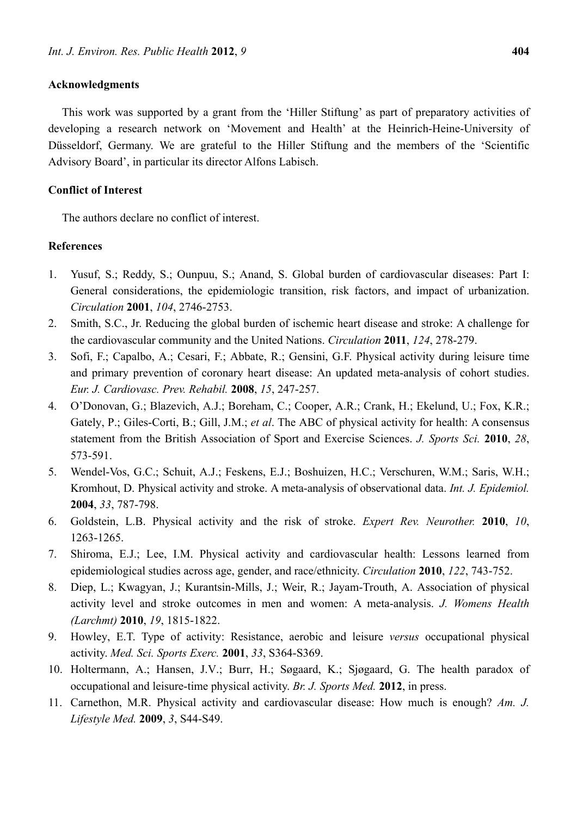# **Acknowledgments**

This work was supported by a grant from the 'Hiller Stiftung' as part of preparatory activities of developing a research network on 'Movement and Health' at the Heinrich-Heine-University of Düsseldorf, Germany. We are grateful to the Hiller Stiftung and the members of the 'Scientific Advisory Board', in particular its director Alfons Labisch.

# **Conflict of Interest**

The authors declare no conflict of interest.

## **References**

- 1. Yusuf, S.; Reddy, S.; Ounpuu, S.; Anand, S. Global burden of cardiovascular diseases: Part I: General considerations, the epidemiologic transition, risk factors, and impact of urbanization. *Circulation* **2001**, *104*, 2746-2753.
- 2. Smith, S.C., Jr. Reducing the global burden of ischemic heart disease and stroke: A challenge for the cardiovascular community and the United Nations. *Circulation* **2011**, *124*, 278-279.
- 3. Sofi, F.; Capalbo, A.; Cesari, F.; Abbate, R.; Gensini, G.F. Physical activity during leisure time and primary prevention of coronary heart disease: An updated meta-analysis of cohort studies. *Eur. J. Cardiovasc. Prev. Rehabil.* **2008**, *15*, 247-257.
- 4. O'Donovan, G.; Blazevich, A.J.; Boreham, C.; Cooper, A.R.; Crank, H.; Ekelund, U.; Fox, K.R.; Gately, P.; Giles-Corti, B.; Gill, J.M.; *et al*. The ABC of physical activity for health: A consensus statement from the British Association of Sport and Exercise Sciences. *J. Sports Sci.* **2010**, *28*, 573-591.
- 5. Wendel-Vos, G.C.; Schuit, A.J.; Feskens, E.J.; Boshuizen, H.C.; Verschuren, W.M.; Saris, W.H.; Kromhout, D. Physical activity and stroke. A meta-analysis of observational data. *Int. J. Epidemiol.* **2004**, *33*, 787-798.
- 6. Goldstein, L.B. Physical activity and the risk of stroke. *Expert Rev. Neurother.* **2010**, *10*, 1263-1265.
- 7. Shiroma, E.J.; Lee, I.M. Physical activity and cardiovascular health: Lessons learned from epidemiological studies across age, gender, and race/ethnicity. *Circulation* **2010**, *122*, 743-752.
- 8. Diep, L.; Kwagyan, J.; Kurantsin-Mills, J.; Weir, R.; Jayam-Trouth, A. Association of physical activity level and stroke outcomes in men and women: A meta-analysis. *J. Womens Health (Larchmt)* **2010**, *19*, 1815-1822.
- 9. Howley, E.T. Type of activity: Resistance, aerobic and leisure *versus* occupational physical activity. *Med. Sci. Sports Exerc.* **2001**, *33*, S364-S369.
- 10. Holtermann, A.; Hansen, J.V.; Burr, H.; Søgaard, K.; Sjøgaard, G. The health paradox of occupational and leisure-time physical activity. *Br. J. Sports Med.* **2012**, in press.
- 11. Carnethon, M.R. Physical activity and cardiovascular disease: How much is enough? *Am. J. Lifestyle Med.* **2009**, *3*, S44-S49.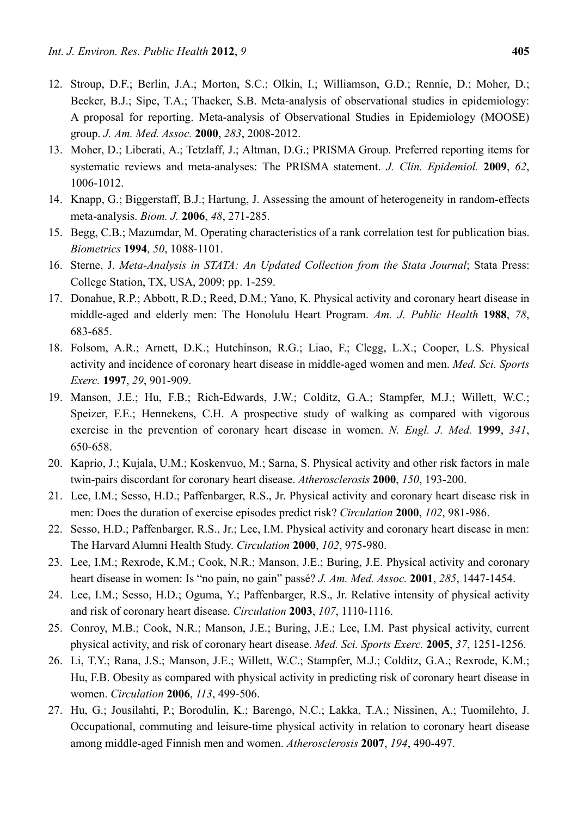- 12. Stroup, D.F.; Berlin, J.A.; Morton, S.C.; Olkin, I.; Williamson, G.D.; Rennie, D.; Moher, D.; Becker, B.J.; Sipe, T.A.; Thacker, S.B. Meta-analysis of observational studies in epidemiology: A proposal for reporting. Meta-analysis of Observational Studies in Epidemiology (MOOSE) group. *J. Am. Med. Assoc.* **2000**, *283*, 2008-2012.
- 13. Moher, D.; Liberati, A.; Tetzlaff, J.; Altman, D.G.; PRISMA Group. Preferred reporting items for systematic reviews and meta-analyses: The PRISMA statement. *J. Clin. Epidemiol.* **2009**, *62*, 1006-1012.
- 14. Knapp, G.; Biggerstaff, B.J.; Hartung, J. Assessing the amount of heterogeneity in random-effects meta-analysis. *Biom. J.* **2006**, *48*, 271-285.
- 15. Begg, C.B.; Mazumdar, M. Operating characteristics of a rank correlation test for publication bias. *Biometrics* **1994**, *50*, 1088-1101.
- 16. Sterne, J. *Meta-Analysis in STATA: An Updated Collection from the Stata Journal*; Stata Press: College Station, TX, USA, 2009; pp. 1-259.
- 17. Donahue, R.P.; Abbott, R.D.; Reed, D.M.; Yano, K. Physical activity and coronary heart disease in middle-aged and elderly men: The Honolulu Heart Program. *Am. J. Public Health* **1988**, *78*, 683-685.
- 18. Folsom, A.R.; Arnett, D.K.; Hutchinson, R.G.; Liao, F.; Clegg, L.X.; Cooper, L.S. Physical activity and incidence of coronary heart disease in middle-aged women and men. *Med. Sci. Sports Exerc.* **1997**, *29*, 901-909.
- 19. Manson, J.E.; Hu, F.B.; Rich-Edwards, J.W.; Colditz, G.A.; Stampfer, M.J.; Willett, W.C.; Speizer, F.E.; Hennekens, C.H. A prospective study of walking as compared with vigorous exercise in the prevention of coronary heart disease in women. *N. Engl. J. Med.* **1999**, *341*, 650-658.
- 20. Kaprio, J.; Kujala, U.M.; Koskenvuo, M.; Sarna, S. Physical activity and other risk factors in male twin-pairs discordant for coronary heart disease. *Atherosclerosis* **2000**, *150*, 193-200.
- 21. Lee, I.M.; Sesso, H.D.; Paffenbarger, R.S., Jr. Physical activity and coronary heart disease risk in men: Does the duration of exercise episodes predict risk? *Circulation* **2000**, *102*, 981-986.
- 22. Sesso, H.D.; Paffenbarger, R.S., Jr.; Lee, I.M. Physical activity and coronary heart disease in men: The Harvard Alumni Health Study. *Circulation* **2000**, *102*, 975-980.
- 23. Lee, I.M.; Rexrode, K.M.; Cook, N.R.; Manson, J.E.; Buring, J.E. Physical activity and coronary heart disease in women: Is "no pain, no gain" passé? *J. Am. Med. Assoc.* **2001**, *285*, 1447-1454.
- 24. Lee, I.M.; Sesso, H.D.; Oguma, Y.; Paffenbarger, R.S., Jr. Relative intensity of physical activity and risk of coronary heart disease. *Circulation* **2003**, *107*, 1110-1116.
- 25. Conroy, M.B.; Cook, N.R.; Manson, J.E.; Buring, J.E.; Lee, I.M. Past physical activity, current physical activity, and risk of coronary heart disease. *Med. Sci. Sports Exerc.* **2005**, *37*, 1251-1256.
- 26. Li, T.Y.; Rana, J.S.; Manson, J.E.; Willett, W.C.; Stampfer, M.J.; Colditz, G.A.; Rexrode, K.M.; Hu, F.B. Obesity as compared with physical activity in predicting risk of coronary heart disease in women. *Circulation* **2006**, *113*, 499-506.
- 27. Hu, G.; Jousilahti, P.; Borodulin, K.; Barengo, N.C.; Lakka, T.A.; Nissinen, A.; Tuomilehto, J. Occupational, commuting and leisure-time physical activity in relation to coronary heart disease among middle-aged Finnish men and women. *Atherosclerosis* **2007**, *194*, 490-497.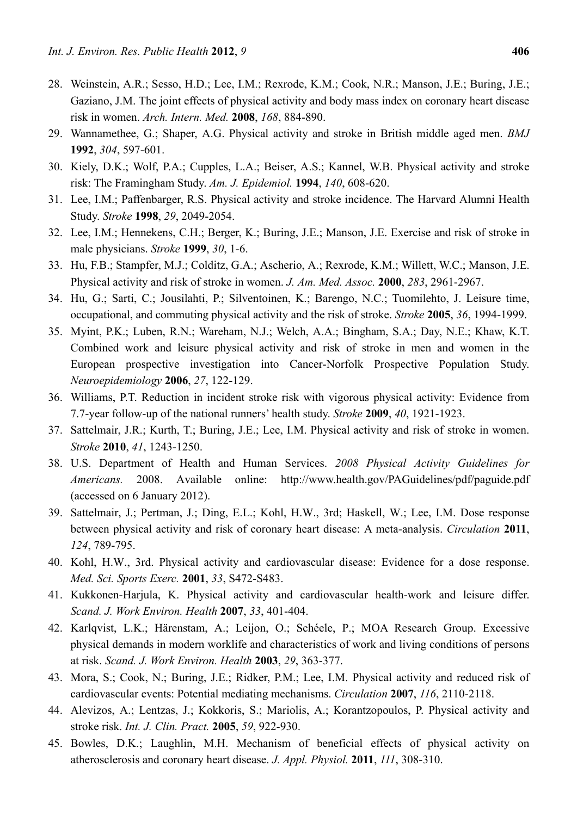- 28. Weinstein, A.R.; Sesso, H.D.; Lee, I.M.; Rexrode, K.M.; Cook, N.R.; Manson, J.E.; Buring, J.E.; Gaziano, J.M. The joint effects of physical activity and body mass index on coronary heart disease risk in women. *Arch. Intern. Med.* **2008**, *168*, 884-890.
- 29. Wannamethee, G.; Shaper, A.G. Physical activity and stroke in British middle aged men. *BMJ* **1992**, *304*, 597-601.
- 30. Kiely, D.K.; Wolf, P.A.; Cupples, L.A.; Beiser, A.S.; Kannel, W.B. Physical activity and stroke risk: The Framingham Study. *Am. J. Epidemiol.* **1994**, *140*, 608-620.
- 31. Lee, I.M.; Paffenbarger, R.S. Physical activity and stroke incidence. The Harvard Alumni Health Study. *Stroke* **1998**, *29*, 2049-2054.
- 32. Lee, I.M.; Hennekens, C.H.; Berger, K.; Buring, J.E.; Manson, J.E. Exercise and risk of stroke in male physicians. *Stroke* **1999**, *30*, 1-6.
- 33. Hu, F.B.; Stampfer, M.J.; Colditz, G.A.; Ascherio, A.; Rexrode, K.M.; Willett, W.C.; Manson, J.E. Physical activity and risk of stroke in women. *J. Am. Med. Assoc.* **2000**, *283*, 2961-2967.
- 34. Hu, G.; Sarti, C.; Jousilahti, P.; Silventoinen, K.; Barengo, N.C.; Tuomilehto, J. Leisure time, occupational, and commuting physical activity and the risk of stroke. *Stroke* **2005**, *36*, 1994-1999.
- 35. Myint, P.K.; Luben, R.N.; Wareham, N.J.; Welch, A.A.; Bingham, S.A.; Day, N.E.; Khaw, K.T. Combined work and leisure physical activity and risk of stroke in men and women in the European prospective investigation into Cancer-Norfolk Prospective Population Study. *Neuroepidemiology* **2006**, *27*, 122-129.
- 36. Williams, P.T. Reduction in incident stroke risk with vigorous physical activity: Evidence from 7.7-year follow-up of the national runners' health study. *Stroke* **2009**, *40*, 1921-1923.
- 37. Sattelmair, J.R.; Kurth, T.; Buring, J.E.; Lee, I.M. Physical activity and risk of stroke in women. *Stroke* **2010**, *41*, 1243-1250.
- 38. U.S. Department of Health and Human Services. *2008 Physical Activity Guidelines for Americans.* 2008. Available online: http://www.health.gov/PAGuidelines/pdf/paguide.pdf (accessed on 6 January 2012).
- 39. Sattelmair, J.; Pertman, J.; Ding, E.L.; Kohl, H.W., 3rd; Haskell, W.; Lee, I.M. Dose response between physical activity and risk of coronary heart disease: A meta-analysis. *Circulation* **2011**, *124*, 789-795.
- 40. Kohl, H.W., 3rd. Physical activity and cardiovascular disease: Evidence for a dose response. *Med. Sci. Sports Exerc.* **2001**, *33*, S472-S483.
- 41. Kukkonen-Harjula, K. Physical activity and cardiovascular health-work and leisure differ. *Scand. J. Work Environ. Health* **2007**, *33*, 401-404.
- 42. Karlqvist, L.K.; Härenstam, A.; Leijon, O.; Schéele, P.; MOA Research Group. Excessive physical demands in modern worklife and characteristics of work and living conditions of persons at risk. *Scand. J. Work Environ. Health* **2003**, *29*, 363-377.
- 43. Mora, S.; Cook, N.; Buring, J.E.; Ridker, P.M.; Lee, I.M. Physical activity and reduced risk of cardiovascular events: Potential mediating mechanisms. *Circulation* **2007**, *116*, 2110-2118.
- 44. Alevizos, A.; Lentzas, J.; Kokkoris, S.; Mariolis, A.; Korantzopoulos, P. Physical activity and stroke risk. *Int. J. Clin. Pract.* **2005**, *59*, 922-930.
- 45. Bowles, D.K.; Laughlin, M.H. Mechanism of beneficial effects of physical activity on atherosclerosis and coronary heart disease. *J. Appl. Physiol.* **2011**, *111*, 308-310.